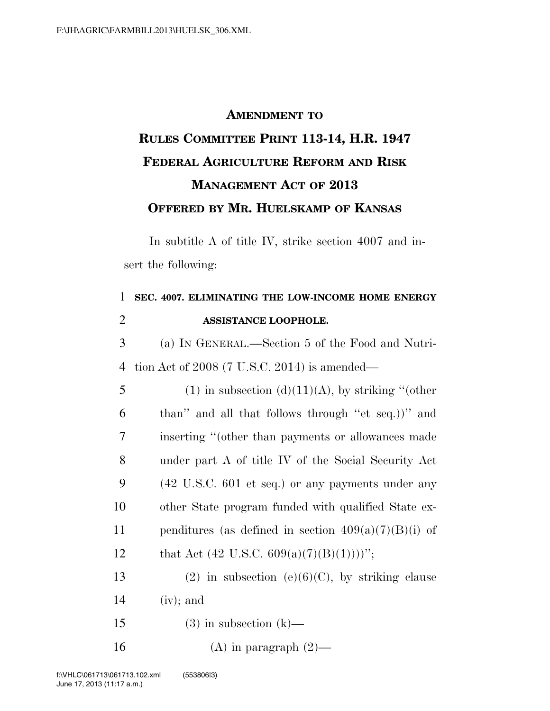## **AMENDMENT TO RULES COMMITTEE PRINT 113-14, H.R. 1947 FEDERAL AGRICULTURE REFORM AND RISK MANAGEMENT ACT OF 2013 OFFERED BY MR. HUELSKAMP OF KANSAS**

In subtitle A of title IV, strike section 4007 and insert the following:

| 1              | SEC. 4007. ELIMINATING THE LOW-INCOME HOME ENERGY                    |
|----------------|----------------------------------------------------------------------|
| $\overline{c}$ | ASSISTANCE LOOPHOLE.                                                 |
| 3              | (a) IN GENERAL.—Section 5 of the Food and Nutri-                     |
| 4              | tion Act of $2008$ (7 U.S.C. 2014) is amended—                       |
| 5              | $(1)$ in subsection $(d)(11)(A)$ , by striking "(other               |
| 6              | than" and all that follows through "et seq.)" and                    |
| 7              | inserting "(other than payments or allowances made                   |
| 8              | under part A of title IV of the Social Security Act                  |
| 9              | $(42 \text{ U.S.C. } 601 \text{ et seq.})$ or any payments under any |
| 10             | other State program funded with qualified State ex-                  |
| 11             | penditures (as defined in section $409(a)(7)(B)(i)$ of               |
| 12             | that Act (42 U.S.C. 609(a)(7)(B)(1))))'';                            |
| 13             | (2) in subsection (e)(6)(C), by striking clause                      |
| 14             | $(iv)$ ; and                                                         |
| 15             | $(3)$ in subsection $(k)$ —                                          |
| 16             | $(A)$ in paragraph $(2)$ —                                           |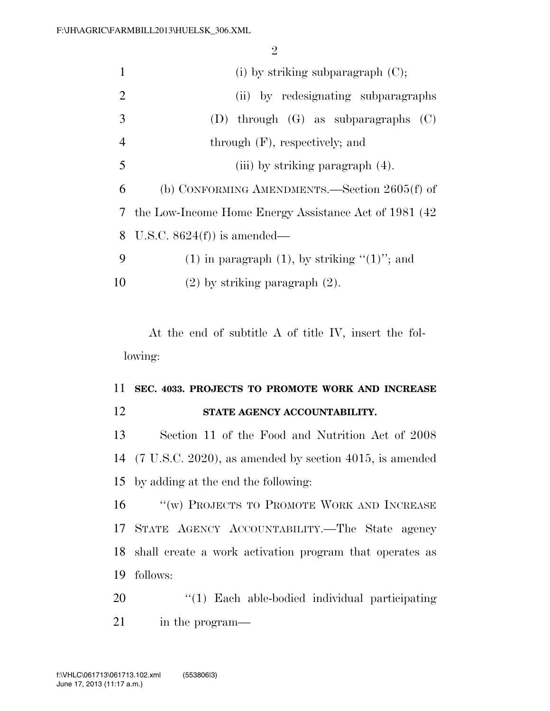$\Omega$ 

|                | z                                                                |
|----------------|------------------------------------------------------------------|
| $\mathbf{1}$   | (i) by striking subparagraph $(C)$ ;                             |
| $\overline{2}$ | (ii) by redesignating subparagraphs                              |
| 3              | (D) through $(G)$ as subparagraphs $(C)$                         |
| $\overline{4}$ | through $(F)$ , respectively; and                                |
| 5              | (iii) by striking paragraph $(4)$ .                              |
| 6              | (b) CONFORMING AMENDMENTS.—Section $2605(f)$ of                  |
| 7              | the Low-Income Home Energy Assistance Act of 1981 (42)           |
| 8              | U.S.C. $8624(f)$ is amended—                                     |
| 9              | $(1)$ in paragraph $(1)$ , by striking " $(1)$ "; and            |
| 10             | $(2)$ by striking paragraph $(2)$ .                              |
|                | At the end of subtitle A of title IV, insert the fol-<br>lowing: |
| 11             | SEC. 4033. PROJECTS TO PROMOTE WORK AND INCREASE                 |
| 12             | STATE AGENCY ACCOUNTABILITY.                                     |
| 13             | Section 11 of the Food and Nutrition Act of 2008                 |
|                | 14 (7 U.S.C. 2020), as amended by section 4015, is amended       |
| 15             | by adding at the end the following:                              |
| 16             | $\lq\lq(\mathbf{w})$ PROJECTS TO PROMOTE WORK AND INCREASE       |
|                | 17 STATE AGENCY ACCOUNTABILITY. The State agency                 |
| 18             | shall create a work activation program that operates as          |
|                |                                                                  |
| 19             | follows:                                                         |
| 20             | $\lq(1)$ Each able-bodied individual participating               |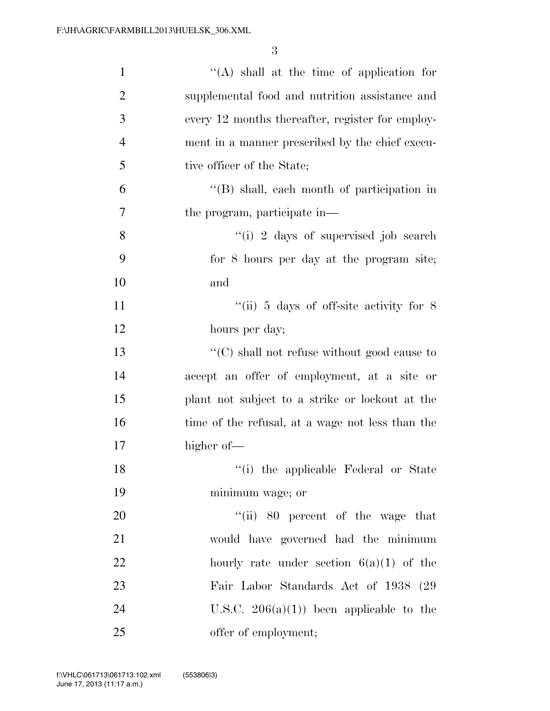3

| $\mathbf{1}$   | $\lq\lq$ shall at the time of application for       |
|----------------|-----------------------------------------------------|
| $\overline{2}$ | supplemental food and nutrition assistance and      |
| 3              | every 12 months thereafter, register for employ-    |
| $\overline{4}$ | ment in a manner prescribed by the chief execu-     |
| 5              | tive officer of the State;                          |
| 6              | $\lq\lq$ shall, each month of participation in      |
| 7              | the program, participate in—                        |
| 8              | "(i) 2 days of supervised job search                |
| 9              | for 8 hours per day at the program site;            |
| 10             | and                                                 |
| 11             | "(ii) $5$ days of off-site activity for $8$         |
| 12             | hours per day;                                      |
| 13             | $\lq\lq$ (C) shall not refuse without good cause to |
| 14             | accept an offer of employment, at a site or         |
| 15             | plant not subject to a strike or lockout at the     |
| 16             | time of the refusal, at a wage not less than the    |
| 17             | higher of—                                          |
| 18             | "(i) the applicable Federal or State                |
| 19             | minimum wage; or                                    |
| 20             | "(ii) 80 percent of the wage that                   |
| 21             | would have governed had the minimum                 |
| 22             | hourly rate under section $6(a)(1)$ of the          |
| 23             | Fair Labor Standards Act of 1938 (29)               |
| 24             | U.S.C. $206(a)(1)$ been applicable to the           |
| 25             | offer of employment;                                |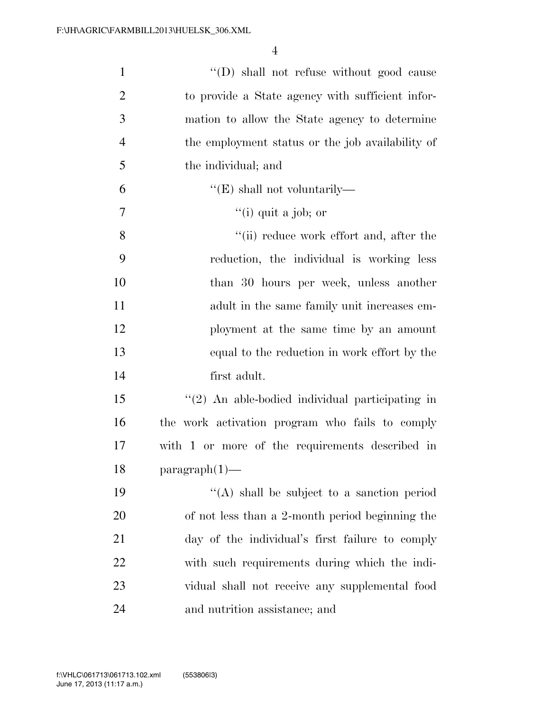| $\mathbf{1}$   | "(D) shall not refuse without good cause         |
|----------------|--------------------------------------------------|
| $\overline{2}$ | to provide a State agency with sufficient infor- |
| 3              | mation to allow the State agency to determine    |
| $\overline{4}$ | the employment status or the job availability of |
| 5              | the individual; and                              |
| 6              | $\lq\lq (E)$ shall not voluntarily—              |
| $\tau$         | $\lq$ <sup>"</sup> (i) quit a job; or            |
| 8              | "(ii) reduce work effort and, after the          |
| 9              | reduction, the individual is working less        |
| 10             | than 30 hours per week, unless another           |
| 11             | adult in the same family unit increases em-      |
| 12             | ployment at the same time by an amount           |
| 13             | equal to the reduction in work effort by the     |
| 14             | first adult.                                     |
| 15             | "(2) An able-bodied individual participating in  |
| 16             | the work activation program who fails to comply  |
| 17             | with 1 or more of the requirements described in  |
| 18             | $paramph(1)$ —                                   |
| 19             | $\lq\lq$ shall be subject to a sanction period   |
| <b>20</b>      | of not less than a 2-month period beginning the  |
| 21             | day of the individual's first failure to comply  |
| 22             | with such requirements during which the indi-    |
| 23             | vidual shall not receive any supplemental food   |
| 24             | and nutrition assistance; and                    |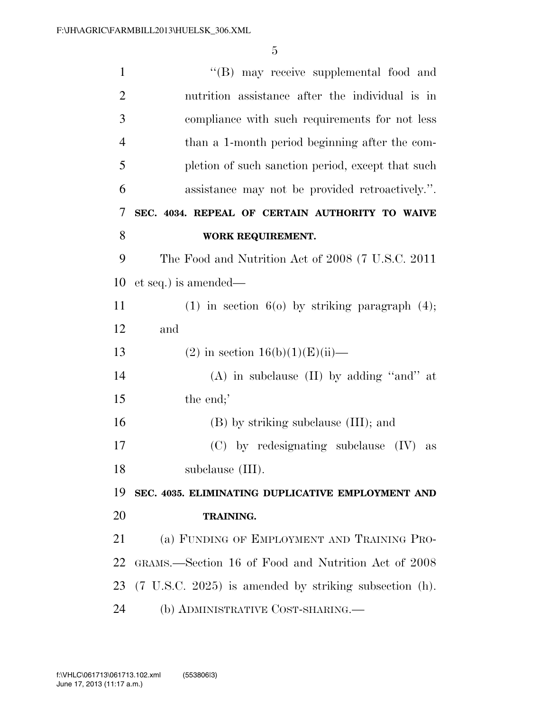| $\mathbf{1}$   | "(B) may receive supplemental food and                               |
|----------------|----------------------------------------------------------------------|
| $\overline{2}$ | nutrition assistance after the individual is in                      |
| 3              | compliance with such requirements for not less                       |
| $\overline{4}$ | than a 1-month period beginning after the com-                       |
| 5              | pletion of such sanction period, except that such                    |
| 6              | assistance may not be provided retroactively.".                      |
| 7              | SEC. 4034. REPEAL OF CERTAIN AUTHORITY TO WAIVE                      |
| 8              | WORK REQUIREMENT.                                                    |
| 9              | The Food and Nutrition Act of 2008 (7 U.S.C. 2011)                   |
| 10             | et seq.) is amended—                                                 |
| 11             | $(1)$ in section $6(0)$ by striking paragraph $(4)$ ;                |
| 12             | and                                                                  |
| 13             | (2) in section $16(b)(1)(E)(ii)$ —                                   |
| 14             | $(A)$ in subclause $(II)$ by adding "and" at                         |
| 15             | the end;'                                                            |
| 16             | (B) by striking subclause (III); and                                 |
| 17             | $(C)$ by redesignating subclause $(IV)$<br>as                        |
| 18             | subclause (III).                                                     |
| 19             | SEC. 4035. ELIMINATING DUPLICATIVE EMPLOYMENT AND                    |
| 20             | TRAINING.                                                            |
| 21             | (a) FUNDING OF EMPLOYMENT AND TRAINING PRO-                          |
| 22             | GRAMS.—Section 16 of Food and Nutrition Act of 2008                  |
| 23             | $(7 \text{ U.S.C. } 2025)$ is amended by striking subsection $(h)$ . |
| 24             | (b) ADMINISTRATIVE COST-SHARING.—                                    |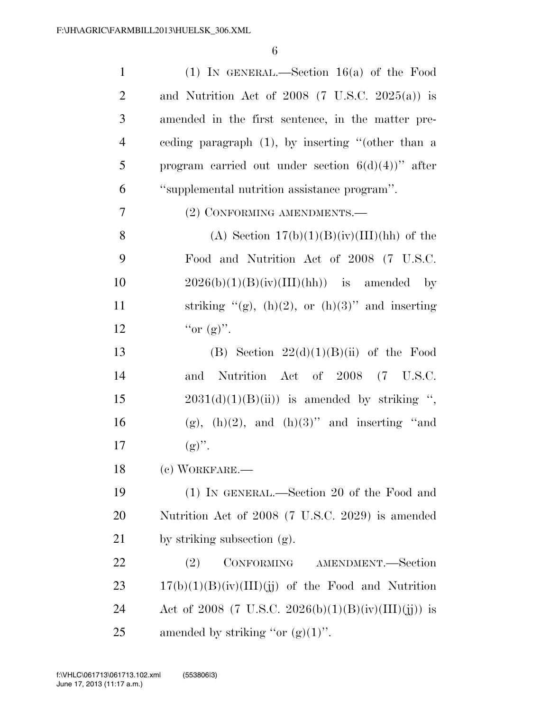| $\mathbf{1}$   | (1) IN GENERAL.—Section $16(a)$ of the Food          |
|----------------|------------------------------------------------------|
| $\overline{2}$ | and Nutrition Act of $2008$ (7 U.S.C. $2025(a)$ ) is |
| 3              | amended in the first sentence, in the matter pre-    |
| $\overline{4}$ | ceding paragraph $(1)$ , by inserting "(other than a |
| 5              | program carried out under section $6(d)(4)$ " after  |
| 6              | "supplemental nutrition assistance program".         |
| 7              | (2) CONFORMING AMENDMENTS.—                          |
| 8              | (A) Section $17(b)(1)(B)(iv)(III)(hh)$ of the        |
| 9              | Food and Nutrition Act of 2008 (7 U.S.C.             |
| 10             | $2026(b)(1)(B)(iv)(III)(hh)$ is amended<br>$-$ by    |
| 11             | striking "(g), (h)(2), or (h)(3)" and inserting      |
| 12             | "or $(g)$ ".                                         |
| 13             | (B) Section $22(d)(1)(B)(ii)$ of the Food            |
| 14             | Nutrition Act of 2008 (7 U.S.C.<br>and               |
| 15             | $2031(d)(1)(B(ii))$ is amended by striking ",        |
| 16             | (g), (h)(2), and (h)(3)" and inserting "and          |
| 17             | $(g)$ ".                                             |
| 18             | (c) WORKFARE.—                                       |
| 19             | (1) IN GENERAL.—Section 20 of the Food and           |
| 20             | Nutrition Act of 2008 (7 U.S.C. 2029) is amended     |
| 21             | by striking subsection (g).                          |
| 22             | AMENDMENT.—Section<br>CONFORMING<br>(2)              |
| 23             | $17(b)(1)(B)(iv)(III)(jj)$ of the Food and Nutrition |
| 24             | Act of 2008 (7 U.S.C. 2026(b)(1)(B)(iv)(III)(jj)) is |
| 25             | amended by striking "or $(g)(1)$ ".                  |